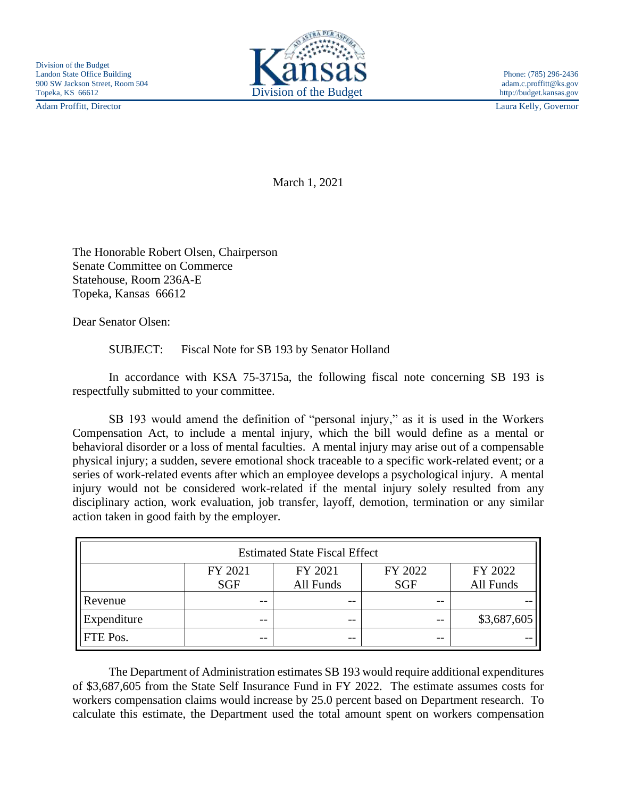Adam Proffitt, Director Laura Kelly, Governor



March 1, 2021

The Honorable Robert Olsen, Chairperson Senate Committee on Commerce Statehouse, Room 236A-E Topeka, Kansas 66612

Dear Senator Olsen:

SUBJECT: Fiscal Note for SB 193 by Senator Holland

In accordance with KSA 75-3715a, the following fiscal note concerning SB 193 is respectfully submitted to your committee.

SB 193 would amend the definition of "personal injury," as it is used in the Workers Compensation Act, to include a mental injury, which the bill would define as a mental or behavioral disorder or a loss of mental faculties. A mental injury may arise out of a compensable physical injury; a sudden, severe emotional shock traceable to a specific work-related event; or a series of work-related events after which an employee develops a psychological injury. A mental injury would not be considered work-related if the mental injury solely resulted from any disciplinary action, work evaluation, job transfer, layoff, demotion, termination or any similar action taken in good faith by the employer.

| <b>Estimated State Fiscal Effect</b> |            |           |            |             |
|--------------------------------------|------------|-----------|------------|-------------|
|                                      | FY 2021    | FY 2021   | FY 2022    | FY 2022     |
|                                      | <b>SGF</b> | All Funds | <b>SGF</b> | All Funds   |
| Revenue                              | $- -$      | $ -$      | $ -$       |             |
| Expenditure                          | --         | $- -$     | $- -$      | \$3,687,605 |
| <b>FTE</b> Pos.                      | --         | $ -$      | $- -$      |             |

The Department of Administration estimates SB 193 would require additional expenditures of \$3,687,605 from the State Self Insurance Fund in FY 2022. The estimate assumes costs for workers compensation claims would increase by 25.0 percent based on Department research. To calculate this estimate, the Department used the total amount spent on workers compensation